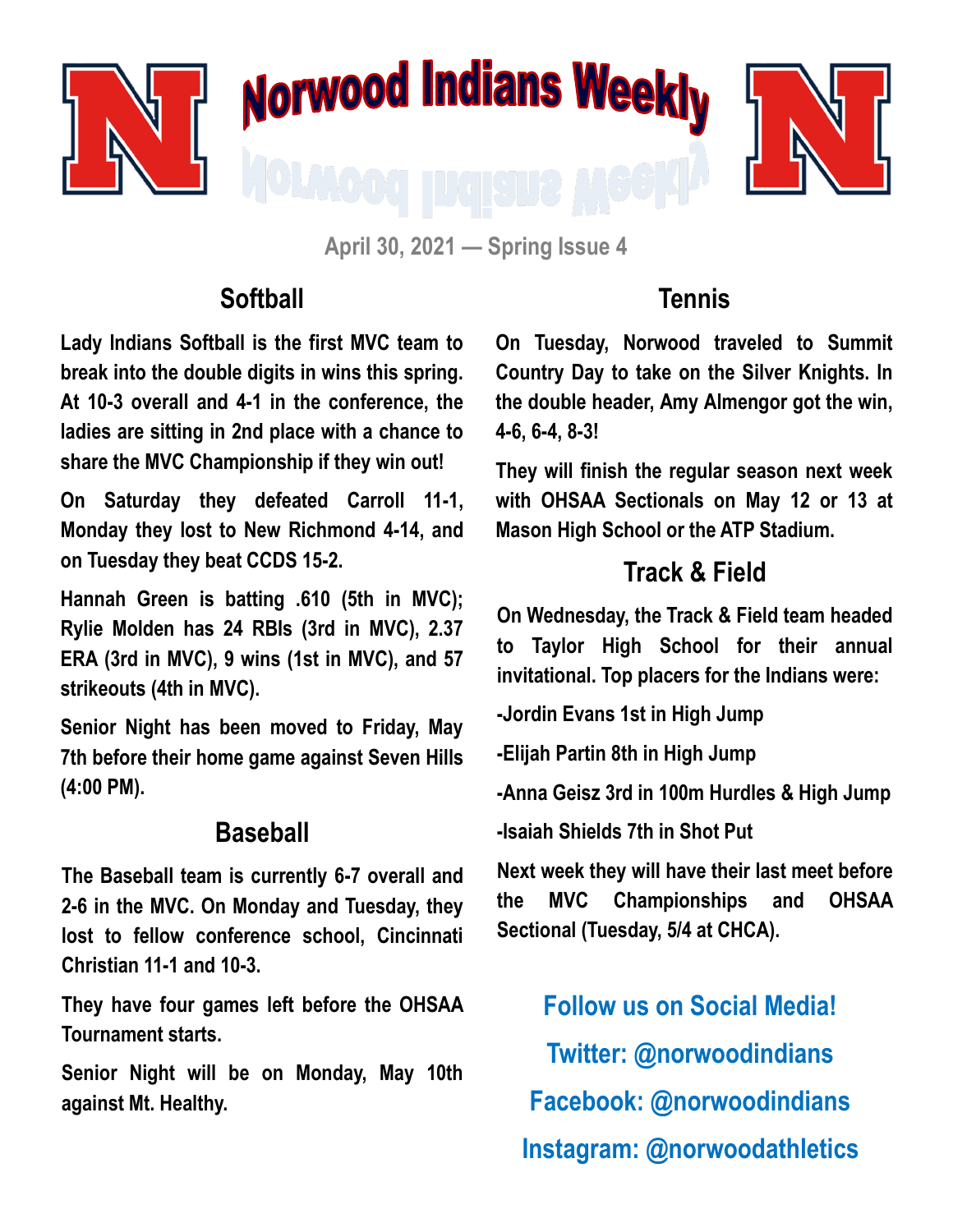





**April 30, 2021 — Spring Issue 4**

#### **Softball**

**Lady Indians Softball is the first MVC team to break into the double digits in wins this spring. At 10-3 overall and 4-1 in the conference, the ladies are sitting in 2nd place with a chance to share the MVC Championship if they win out!**

**On Saturday they defeated Carroll 11-1, Monday they lost to New Richmond 4-14, and on Tuesday they beat CCDS 15-2.** 

**Hannah Green is batting .610 (5th in MVC); Rylie Molden has 24 RBIs (3rd in MVC), 2.37 ERA (3rd in MVC), 9 wins (1st in MVC), and 57 strikeouts (4th in MVC).** 

**Senior Night has been moved to Friday, May 7th before their home game against Seven Hills (4:00 PM).**

## **Baseball**

**The Baseball team is currently 6-7 overall and 2-6 in the MVC. On Monday and Tuesday, they lost to fellow conference school, Cincinnati Christian 11-1 and 10-3.** 

**They have four games left before the OHSAA Tournament starts.** 

**Senior Night will be on Monday, May 10th against Mt. Healthy.**

## **Tennis**

**On Tuesday, Norwood traveled to Summit Country Day to take on the Silver Knights. In the double header, Amy Almengor got the win, 4-6, 6-4, 8-3!**

**They will finish the regular season next week with OHSAA Sectionals on May 12 or 13 at Mason High School or the ATP Stadium.**

# **Track & Field**

**On Wednesday, the Track & Field team headed to Taylor High School for their annual invitational. Top placers for the Indians were:**

**-Jordin Evans 1st in High Jump**

**-Elijah Partin 8th in High Jump**

**-Anna Geisz 3rd in 100m Hurdles & High Jump**

**-Isaiah Shields 7th in Shot Put**

**Next week they will have their last meet before the MVC Championships and OHSAA Sectional (Tuesday, 5/4 at CHCA).**

**Follow us on Social Media! Twitter: @norwoodindians Facebook: @norwoodindians Instagram: @norwoodathletics**